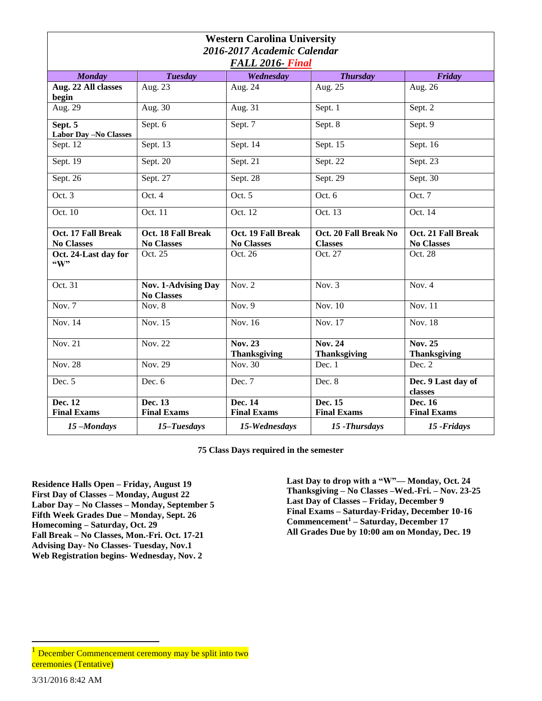| <b>Western Carolina University</b><br>2016-2017 Academic Calendar |                                                 |                                       |                                       |                                       |  |  |
|-------------------------------------------------------------------|-------------------------------------------------|---------------------------------------|---------------------------------------|---------------------------------------|--|--|
| FALL 2016- Final                                                  |                                                 |                                       |                                       |                                       |  |  |
| <b>Monday</b>                                                     | <b>Tuesday</b>                                  | Wednesday                             | <b>Thursday</b>                       | <b>Friday</b>                         |  |  |
| Aug. 22 All classes<br>begin                                      | Aug. 23                                         | Aug. 24                               | Aug. $25$                             | Aug. 26                               |  |  |
| Aug. 29                                                           | Aug. 30                                         | Aug. 31                               | Sept. 1                               | Sept. $\overline{2}$                  |  |  |
| Sept. 5<br><b>Labor Day -No Classes</b>                           | Sept. 6                                         | Sept. 7                               | Sept. 8                               | Sept. 9                               |  |  |
| Sept. 12                                                          | Sept. 13                                        | Sept. $1\overline{4}$                 | Sept. $1\overline{5}$                 | Sept. 16                              |  |  |
| Sept. 19                                                          | Sept. 20                                        | Sept. 21                              | Sept. 22                              | Sept. 23                              |  |  |
| Sept. 26                                                          | Sept. 27                                        | Sept. 28                              | Sept. 29                              | Sept. 30                              |  |  |
| Oct. 3                                                            | Oct. 4                                          | Oct. 5                                | Oct. 6                                | Oct. 7                                |  |  |
| Oct. 10                                                           | Oct. 11                                         | Oct. 12                               | Oct. 13                               | Oct. 14                               |  |  |
| Oct. 17 Fall Break                                                | Oct. 18 Fall Break                              | Oct. 19 Fall Break                    | Oct. 20 Fall Break No                 | Oct. 21 Fall Break                    |  |  |
| <b>No Classes</b>                                                 | <b>No Classes</b>                               | <b>No Classes</b>                     | <b>Classes</b>                        | <b>No Classes</b>                     |  |  |
| Oct. 24-Last day for<br>"W"                                       | Oct. 25                                         | Oct. 26                               | Oct. 27                               | Oct. 28                               |  |  |
| Oct. 31                                                           | <b>Nov. 1-Advising Day</b><br><b>No Classes</b> | Nov. $2$                              | Nov. $3$                              | Nov. $4$                              |  |  |
| Nov. 7                                                            | Nov. $8$                                        | Nov. 9                                | Nov. 10                               | Nov. 11                               |  |  |
| <b>Nov. 14</b>                                                    | Nov. 15                                         | <b>Nov. 16</b>                        | Nov. 17                               | <b>Nov. 18</b>                        |  |  |
| Nov. 21                                                           | Nov. 22                                         | <b>Nov. 23</b><br><b>Thanksgiving</b> | <b>Nov. 24</b><br><b>Thanksgiving</b> | <b>Nov. 25</b><br><b>Thanksgiving</b> |  |  |
| <b>Nov. 28</b>                                                    | Nov. 29                                         | Nov. 30                               | Dec. 1                                | Dec. 2                                |  |  |
| Dec. 5                                                            | Dec. 6                                          | Dec. 7                                | Dec. 8                                | Dec. 9 Last day of<br>classes         |  |  |
| Dec. 12                                                           | Dec. 13                                         | Dec. 14                               | Dec. 15                               | Dec. 16                               |  |  |
| <b>Final Exams</b>                                                | <b>Final Exams</b>                              | <b>Final Exams</b>                    | <b>Final Exams</b>                    | <b>Final Exams</b>                    |  |  |
| 15-Mondays                                                        | 15-Tuesdays                                     | 15-Wednesdays                         | 15 - Thursdays                        | 15 - Fridays                          |  |  |

**75 Class Days required in the semester**

**Residence Halls Open – Friday, August 19 First Day of Classes – Monday, August 22 Labor Day – No Classes – Monday, September 5 Fifth Week Grades Due – Monday, Sept. 26 Homecoming – Saturday, Oct. 29 Fall Break – No Classes, Mon.-Fri. Oct. 17-21 Advising Day- No Classes- Tuesday, Nov.1 Web Registration begins- Wednesday, Nov. 2** 

**Last Day to drop with a "W"— Monday, Oct. 24 Thanksgiving – No Classes –Wed.-Fri. – Nov. 23-25 Last Day of Classes – Friday, December 9 Final Exams – Saturday-Friday, December 10-16 Commencement<sup>1</sup> – Saturday, December 17 All Grades Due by 10:00 am on Monday, Dec. 19**

 $\overline{a}$ 

December Commencement ceremony may be split into two ceremonies (Tentative)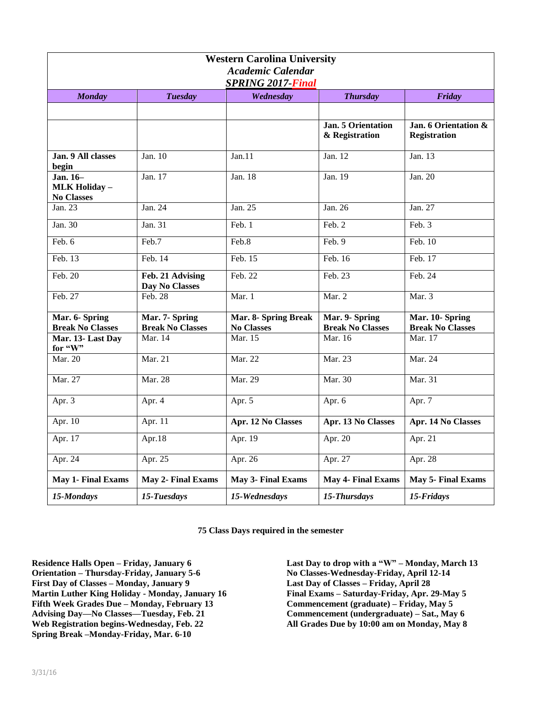| <b>Western Carolina University</b><br><b>Academic Calendar</b><br><b>SPRING 2017-Final</b> |                                           |                                           |                                           |                                             |  |  |
|--------------------------------------------------------------------------------------------|-------------------------------------------|-------------------------------------------|-------------------------------------------|---------------------------------------------|--|--|
| <b>Monday</b>                                                                              | <b>Tuesday</b>                            | Wednesday                                 | <b>Thursday</b>                           | Friday                                      |  |  |
|                                                                                            |                                           |                                           |                                           |                                             |  |  |
|                                                                                            |                                           |                                           | Jan. 5 Orientation<br>& Registration      | Jan. 6 Orientation &<br><b>Registration</b> |  |  |
| Jan. 9 All classes<br>begin                                                                | Jan. 10                                   | Jan.11                                    | Jan. 12                                   | Jan. 13                                     |  |  |
| Jan. 16-<br><b>MLK Holiday -</b><br><b>No Classes</b>                                      | Jan. 17                                   | Jan. $18$                                 | Jan. 19                                   | Jan. 20                                     |  |  |
| Jan. 23                                                                                    | Jan. 24                                   | Jan. 25                                   | Jan. 26                                   | Jan. 27                                     |  |  |
| Jan. 30                                                                                    | Jan. 31                                   | Feb. 1                                    | Feb. 2                                    | Feb. 3                                      |  |  |
| Feb. 6                                                                                     | Feb.7                                     | Feb.8                                     | Feb. 9                                    | Feb. 10                                     |  |  |
| Feb. 13                                                                                    | Feb. 14                                   | Feb. 15                                   | Feb. 16                                   | Feb. 17                                     |  |  |
| Feb. 20                                                                                    | Feb. 21 Advising<br>Day No Classes        | Feb. 22                                   | Feb. 23                                   | Feb. 24                                     |  |  |
| Feb. 27                                                                                    | Feb. $28$                                 | Mar. 1                                    | Mar. $2$                                  | Mar. $3$                                    |  |  |
| Mar. 6- Spring<br><b>Break No Classes</b>                                                  | Mar. 7- Spring<br><b>Break No Classes</b> | Mar. 8- Spring Break<br><b>No Classes</b> | Mar. 9- Spring<br><b>Break No Classes</b> | Mar. 10- Spring<br><b>Break No Classes</b>  |  |  |
| Mar. 13-Last Day<br>for "W"                                                                | Mar. 14                                   | Mar. 15                                   | Mar. 16                                   | Mar. 17                                     |  |  |
| Mar. 20                                                                                    | Mar. 21                                   | Mar. 22                                   | Mar. 23                                   | Mar. 24                                     |  |  |
| Mar. 27                                                                                    | <b>Mar. 28</b>                            | Mar. 29                                   | Mar. 30                                   | Mar. 31                                     |  |  |
| Apr. 3                                                                                     | Apr. 4                                    | Apr. 5                                    | Apr. 6                                    | Apr. 7                                      |  |  |
| Apr. 10                                                                                    | Apr. 11                                   | Apr. 12 No Classes                        | Apr. 13 No Classes                        | Apr. 14 No Classes                          |  |  |
| Apr. 17                                                                                    | Apr.18                                    | Apr. 19                                   | Apr. 20                                   | Apr. 21                                     |  |  |
| Apr. 24                                                                                    | Apr. 25                                   | Apr. 26                                   | Apr. 27                                   | Apr. 28                                     |  |  |
| <b>May 1- Final Exams</b>                                                                  | May 2- Final Exams                        | May 3- Final Exams                        | May 4- Final Exams                        | <b>May 5- Final Exams</b>                   |  |  |
| 15-Mondays                                                                                 | 15-Tuesdays                               | 15-Wednesdays                             | 15-Thursdays                              | 15-Fridays                                  |  |  |

**75 Class Days required in the semester**

**Residence Halls Open – Friday, January 6 Orientation – Thursday-Friday, January 5-6 First Day of Classes – Monday, January 9 Martin Luther King Holiday - Monday, January 16 Fifth Week Grades Due – Monday, February 13 Advising Day—No Classes—Tuesday, Feb. 21 Web Registration begins-Wednesday, Feb. 22 Spring Break –Monday-Friday, Mar. 6-10**

**Last Day to drop with a "W" – Monday, March 13 No Classes-Wednesday-Friday, April 12-14 Last Day of Classes – Friday, April 28 Final Exams – Saturday-Friday, Apr. 29-May 5 Commencement (graduate) – Friday, May 5 Commencement (undergraduate) – Sat., May 6 All Grades Due by 10:00 am on Monday, May 8**